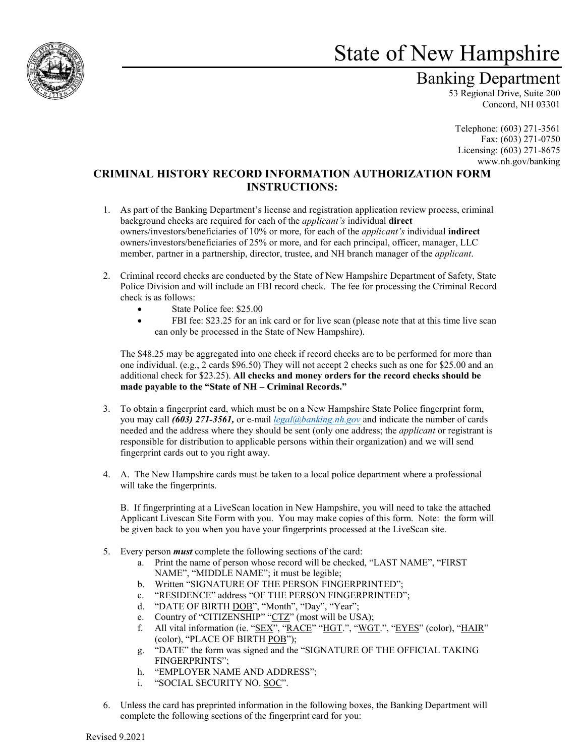

## State of New Hampshire

## Banking Department

53 Regional Drive, Suite 200 Concord, NH 03301

Telephone: (603) 271-3561 Fax: (603) 271-0750 Licensing: (603) 271-8675 www.nh.gov/banking

## **CRIMINAL HISTORY RECORD INFORMATION AUTHORIZATION FORM INSTRUCTIONS:**

- 1. As part of the Banking Department's license and registration application review process, criminal background checks are required for each of the *applicant's* individual **direct** owners/investors/beneficiaries of 10% or more, for each of the *applicant's* individual **indirect**  owners/investors/beneficiaries of 25% or more, and for each principal, officer, manager, LLC member, partner in a partnership, director, trustee, and NH branch manager of the *applicant*.
- 2. Criminal record checks are conducted by the State of New Hampshire Department of Safety, State Police Division and will include an FBI record check. The fee for processing the Criminal Record check is as follows:
	- State Police fee: \$25.00
	- FBI fee: \$23.25 for an ink card or for live scan (please note that at this time live scan can only be processed in the State of New Hampshire).

The \$48.25 may be aggregated into one check if record checks are to be performed for more than one individual. (e.g., 2 cards \$96.50) They will not accept 2 checks such as one for \$25.00 and an additional check for \$23.25). **All checks and money orders for the record checks should be made payable to the "State of NH – Criminal Records."**

- 3. To obtain a fingerprint card, which must be on a New Hampshire State Police fingerprint form, you may call *(603) 271-3561,* or e-mail *[legal@banking.nh.gov](mailto:legal@banking.nh.gov)* and indicate the number of cards needed and the address where they should be sent (only one address; the *applicant* or registrant is responsible for distribution to applicable persons within their organization) and we will send fingerprint cards out to you right away.
- 4. A. The New Hampshire cards must be taken to a local police department where a professional will take the fingerprints.

B. If fingerprinting at a LiveScan location in New Hampshire, you will need to take the attached Applicant Livescan Site Form with you. You may make copies of this form. Note: the form will be given back to you when you have your fingerprints processed at the LiveScan site.

- 5. Every person *must* complete the following sections of the card:
	- a. Print the name of person whose record will be checked, "LAST NAME", "FIRST NAME", "MIDDLE NAME"; it must be legible;
	- b. Written "SIGNATURE OF THE PERSON FINGERPRINTED";
	- c. "RESIDENCE" address "OF THE PERSON FINGERPRINTED";
	- d. "DATE OF BIRTH DOB", "Month", "Day", "Year";
	- e. Country of "CITIZENSHIP" "CTZ" (most will be USA);
	- f. All vital information (ie. "SEX", "RACE" "HGT.", "WGT.", "EYES" (color), "HAIR" (color), "PLACE OF BIRTH POB");
	- g. "DATE" the form was signed and the "SIGNATURE OF THE OFFICIAL TAKING FINGERPRINTS";
	- h. "EMPLOYER NAME AND ADDRESS";
	- i. "SOCIAL SECURITY NO. SOC".
- 6. Unless the card has preprinted information in the following boxes, the Banking Department will complete the following sections of the fingerprint card for you: